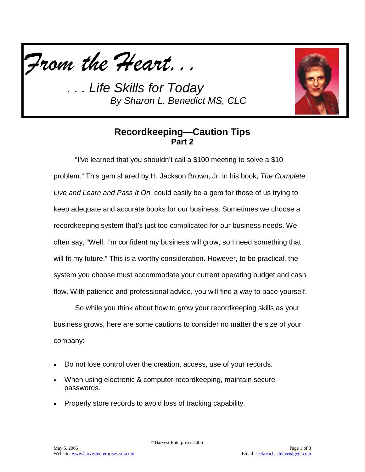



#### **Recordkeeping—Caution Tips Part 2**

"I've learned that you shouldn't call a \$100 meeting to solve a \$10 problem." This gem shared by H. Jackson Brown, Jr. in his book, *The Complete Live and Learn and Pass It On,* could easily be a gem for those of us trying to keep adequate and accurate books for our business. Sometimes we choose a recordkeeping system that's just too complicated for our business needs. We often say, "Well, I'm confident my business will grow, so I need something that will fit my future." This is a worthy consideration. However, to be practical, the system you choose must accommodate your current operating budget and cash flow. With patience and professional advice, you will find a way to pace yourself.

So while you think about how to grow your recordkeeping skills as your business grows, here are some cautions to consider no matter the size of your company:

- Do not lose control over the creation, access, use of your records.
- When using electronic & computer recordkeeping, maintain secure passwords.
- Properly store records to avoid loss of tracking capability.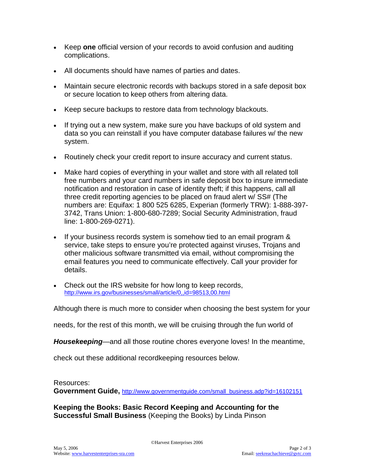- Keep **one** official version of your records to avoid confusion and auditing complications.
- All documents should have names of parties and dates.
- Maintain secure electronic records with backups stored in a safe deposit box or secure location to keep others from altering data.
- Keep secure backups to restore data from technology blackouts.
- If trying out a new system, make sure you have backups of old system and data so you can reinstall if you have computer database failures w/ the new system.
- Routinely check your credit report to insure accuracy and current status.
- Make hard copies of everything in your wallet and store with all related toll free numbers and your card numbers in safe deposit box to insure immediate notification and restoration in case of identity theft; if this happens, call all three credit reporting agencies to be placed on fraud alert w/ SS# (The numbers are: Equifax: 1 800 525 6285, Experian (formerly TRW): 1-888-397- 3742, Trans Union: 1-800-680-7289; Social Security Administration, fraud line: 1-800-269-0271).
- If your business records system is somehow tied to an email program & service, take steps to ensure you're protected against viruses, Trojans and other malicious software transmitted via email, without compromising the email features you need to communicate effectively. Call your provider for details.
- Check out the IRS website for how long to keep records, <http://www.irs.gov/businesses/small/article/0,,id=98513,00.html>

Although there is much more to consider when choosing the best system for your

needs, for the rest of this month, we will be cruising through the fun world of

*Housekeeping*—and all those routine chores everyone loves! In the meantime,

check out these additional recordkeeping resources below.

#### Resources:

**Government Guide, [http://www.governmentguide.com/small\\_business.adp?id=16102151](http://www.governmentguide.com/small_business.adp?id=16102151)** 

**Keeping the Books: Basic Record Keeping and Accounting for the Successful Small Business** (Keeping the Books) by Linda Pinson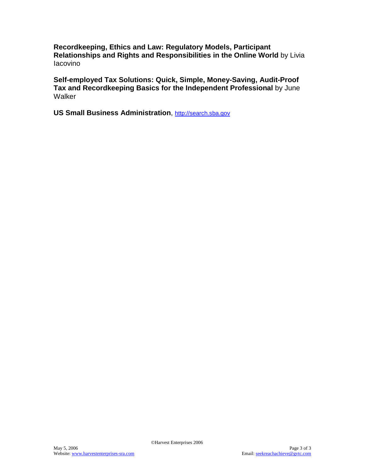**Recordkeeping, Ethics and Law: Regulatory Models, Participant Relationships and Rights and Responsibilities in the Online World** by Livia Iacovino

**Self-employed Tax Solutions: Quick, Simple, Money-Saving, Audit-Proof Tax and Recordkeeping Basics for the Independent Professional** by June **Walker** 

**US Small Business Administration**, [http://search.sba.gov](http://search.sba.gov/)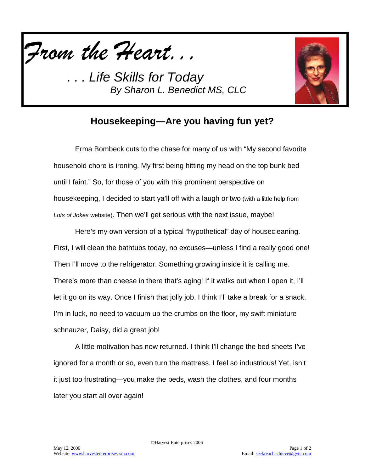



### **Housekeeping—Are you having fun yet?**

Erma Bombeck cuts to the chase for many of us with "My second favorite household chore is ironing. My first being hitting my head on the top bunk bed until I faint." So, for those of you with this prominent perspective on housekeeping, I decided to start ya'll off with a laugh or two (with a little help from *Lots of Jokes* website). Then we'll get serious with the next issue, maybe!

Here's my own version of a typical "hypothetical" day of housecleaning. First, I will clean the bathtubs today, no excuses—unless I find a really good one! Then I'll move to the refrigerator. Something growing inside it is calling me. There's more than cheese in there that's aging! If it walks out when I open it, I'll let it go on its way. Once I finish that jolly job, I think I'll take a break for a snack. I'm in luck, no need to vacuum up the crumbs on the floor, my swift miniature schnauzer, Daisy, did a great job!

A little motivation has now returned. I think I'll change the bed sheets I've ignored for a month or so, even turn the mattress. I feel so industrious! Yet, isn't it just too frustrating—you make the beds, wash the clothes, and four months later you start all over again!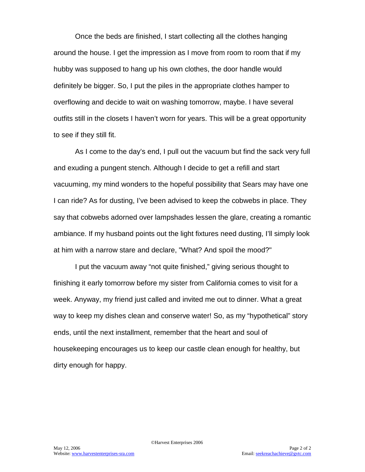Once the beds are finished, I start collecting all the clothes hanging around the house. I get the impression as I move from room to room that if my hubby was supposed to hang up his own clothes, the door handle would definitely be bigger. So, I put the piles in the appropriate clothes hamper to overflowing and decide to wait on washing tomorrow, maybe. I have several outfits still in the closets I haven't worn for years. This will be a great opportunity to see if they still fit.

As I come to the day's end, I pull out the vacuum but find the sack very full and exuding a pungent stench. Although I decide to get a refill and start vacuuming, my mind wonders to the hopeful possibility that Sears may have one I can ride? As for dusting, I've been advised to keep the cobwebs in place. They say that cobwebs adorned over lampshades lessen the glare, creating a romantic ambiance. If my husband points out the light fixtures need dusting, I'll simply look at him with a narrow stare and declare, "What? And spoil the mood?"

I put the vacuum away "not quite finished," giving serious thought to finishing it early tomorrow before my sister from California comes to visit for a week. Anyway, my friend just called and invited me out to dinner. What a great way to keep my dishes clean and conserve water! So, as my "hypothetical" story ends, until the next installment, remember that the heart and soul of housekeeping encourages us to keep our castle clean enough for healthy, but dirty enough for happy.

©Harvest Enterprises 2006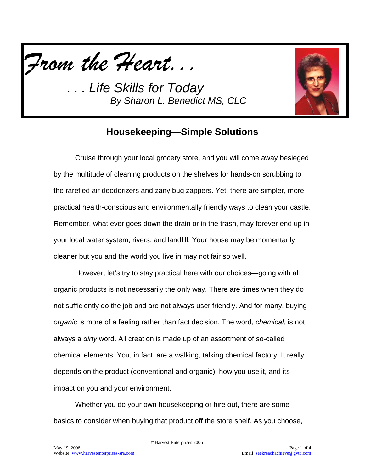*From the Heart...*



# **Housekeeping—Simple Solutions**

Cruise through your local grocery store, and you will come away besieged by the multitude of cleaning products on the shelves for hands-on scrubbing to the rarefied air deodorizers and zany bug zappers. Yet, there are simpler, more practical health-conscious and environmentally friendly ways to clean your castle. Remember, what ever goes down the drain or in the trash, may forever end up in your local water system, rivers, and landfill. Your house may be momentarily cleaner but you and the world you live in may not fair so well.

However, let's try to stay practical here with our choices—going with all organic products is not necessarily the only way. There are times when they do not sufficiently do the job and are not always user friendly. And for many, buying *organic* is more of a feeling rather than fact decision. The word, *chemical*, is not always a *dirty* word. All creation is made up of an assortment of so-called chemical elements. You, in fact, are a walking, talking chemical factory! It really depends on the product (conventional and organic), how you use it, and its impact on you and your environment.

Whether you do your own housekeeping or hire out, there are some basics to consider when buying that product off the store shelf. As you choose,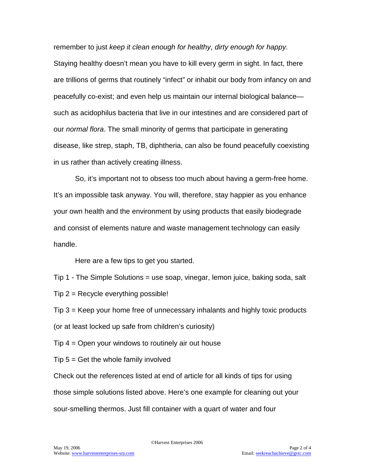remember to just *keep it clean enough for healthy, dirty enough for happy.* Staying healthy doesn't mean you have to kill every germ in sight. In fact, there are trillions of germs that routinely "infect" or inhabit our body from infancy on and peacefully co-exist; and even help us maintain our internal biological balance such as acidophilus bacteria that live in our intestines and are considered part of our *normal flora*. The small minority of germs that participate in generating disease, like strep, staph, TB, diphtheria, can also be found peacefully coexisting in us rather than actively creating illness.

So, it's important not to obsess too much about having a germ-free home. It's an impossible task anyway. You will, therefore, stay happier as you enhance your own health and the environment by using products that easily biodegrade and consist of elements nature and waste management technology can easily handle.

Here are a few tips to get you started.

Tip 1 - The Simple Solutions = use soap, vinegar, lemon juice, baking soda, salt  $Tip 2 = Recycle$  everything possible!

Tip 3 = Keep your home free of unnecessary inhalants and highly toxic products (or at least locked up safe from children's curiosity)

Tip 4 = Open your windows to routinely air out house

 $Tip 5 = Get the whole family involved$ 

Check out the references listed at end of article for all kinds of tips for using those simple solutions listed above. Here's one example for cleaning out your sour-smelling thermos. Just fill container with a quart of water and four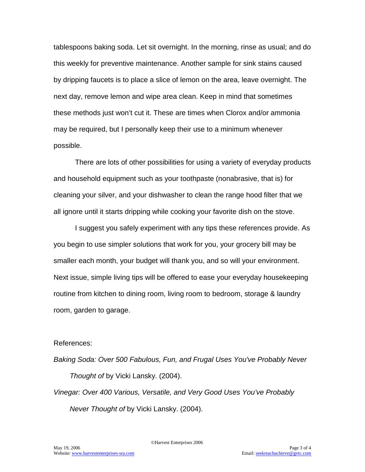tablespoons baking soda. Let sit overnight. In the morning, rinse as usual; and do this weekly for preventive maintenance. Another sample for sink stains caused by dripping faucets is to place a slice of lemon on the area, leave overnight. The next day, remove lemon and wipe area clean. Keep in mind that sometimes these methods just won't cut it. These are times when Clorox and/or ammonia may be required, but I personally keep their use to a minimum whenever possible.

There are lots of other possibilities for using a variety of everyday products and household equipment such as your toothpaste (nonabrasive, that is) for cleaning your silver, and your dishwasher to clean the range hood filter that we all ignore until it starts dripping while cooking your favorite dish on the stove.

I suggest you safely experiment with any tips these references provide. As you begin to use simpler solutions that work for you, your grocery bill may be smaller each month, your budget will thank you, and so will your environment. Next issue, simple living tips will be offered to ease your everyday housekeeping routine from kitchen to dining room, living room to bedroom, storage & laundry room, garden to garage.

#### References:

*Baking Soda: Over 500 Fabulous, Fun, and Frugal Uses You've Probably Never Thought of* by Vicki Lansky. (2004). *Vinegar: Over 400 Various, Versatile, and Very Good Uses You've Probably* 

*Never Thought of* by Vicki Lansky. (2004).

©Harvest Enterprises 2006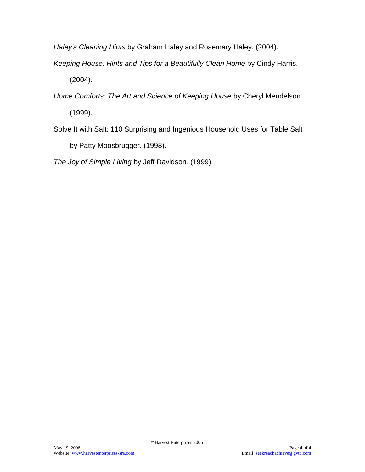*Haley's Cleaning Hints* by Graham Haley and Rosemary Haley. (2004).

*Keeping House: Hints and Tips for a Beautifully Clean Home* by Cindy Harris.

(2004).

*Home Comforts: The Art and Science of Keeping House* by Cheryl Mendelson.

(1999).

Solve It with Salt: 110 Surprising and Ingenious Household Uses for Table Salt by Patty Moosbrugger. (1998).

*The Joy of Simple Living* by Jeff Davidson. (1999).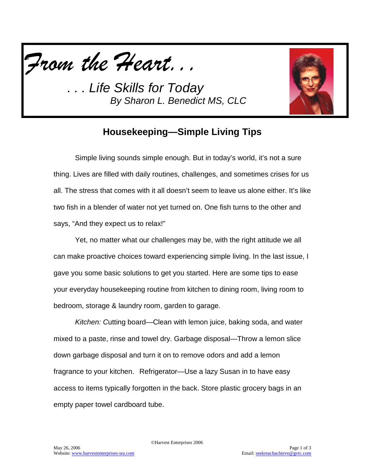



# **Housekeeping—Simple Living Tips**

Simple living sounds simple enough. But in today's world, it's not a sure thing. Lives are filled with daily routines, challenges, and sometimes crises for us all. The stress that comes with it all doesn't seem to leave us alone either. It's like two fish in a blender of water not yet turned on. One fish turns to the other and says, "And they expect us to relax!"

Yet, no matter what our challenges may be, with the right attitude we all can make proactive choices toward experiencing simple living. In the last issue, I gave you some basic solutions to get you started. Here are some tips to ease your everyday housekeeping routine from kitchen to dining room, living room to bedroom, storage & laundry room, garden to garage.

*Kitchen: C*utting board—Clean with lemon juice, baking soda, and water mixed to a paste, rinse and towel dry. Garbage disposal—Throw a lemon slice down garbage disposal and turn it on to remove odors and add a lemon fragrance to your kitchen. Refrigerator—Use a lazy Susan in to have easy access to items typically forgotten in the back. Store plastic grocery bags in an empty paper towel cardboard tube.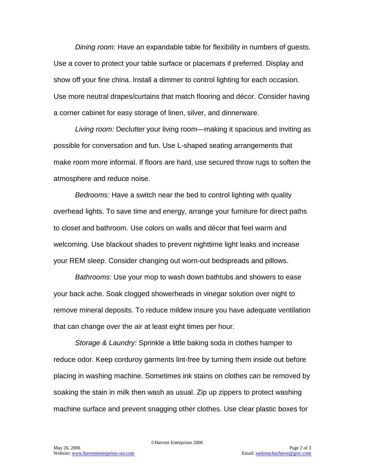*Dining room:* Have an expandable table for flexibility in numbers of guests. Use a cover to protect your table surface or placemats if preferred. Display and show off your fine china. Install a dimmer to control lighting for each occasion. Use more neutral drapes/curtains that match flooring and décor. Consider having a corner cabinet for easy storage of linen, silver, and dinnerware.

*Living room:* Declutter your living room—making it spacious and inviting as possible for conversation and fun. Use L-shaped seating arrangements that make room more informal. If floors are hard, use secured throw rugs to soften the atmosphere and reduce noise.

*Bedrooms:* Have a switch near the bed to control lighting with quality overhead lights. To save time and energy, arrange your furniture for direct paths to closet and bathroom. Use colors on walls and décor that feel warm and welcoming. Use blackout shades to prevent nighttime light leaks and increase your REM sleep. Consider changing out worn-out bedspreads and pillows.

*Bathrooms:* Use your mop to wash down bathtubs and showers to ease your back ache. Soak clogged showerheads in vinegar solution over night to remove mineral deposits. To reduce mildew insure you have adequate ventilation that can change over the air at least eight times per hour.

*Storage & Laundry:* Sprinkle a little baking soda in clothes hamper to reduce odor. Keep corduroy garments lint-free by turning them inside out before placing in washing machine. Sometimes ink stains on clothes can be removed by soaking the stain in milk then wash as usual. Zip up zippers to protect washing machine surface and prevent snagging other clothes. Use clear plastic boxes for